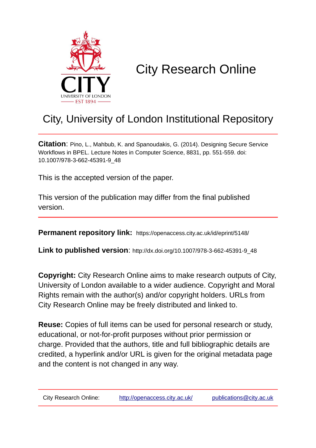

# City Research Online

# City, University of London Institutional Repository

**Citation**: Pino, L., Mahbub, K. and Spanoudakis, G. (2014). Designing Secure Service Workflows in BPEL. Lecture Notes in Computer Science, 8831, pp. 551-559. doi: 10.1007/978-3-662-45391-9\_48

This is the accepted version of the paper.

This version of the publication may differ from the final published version.

**Permanent repository link:** https://openaccess.city.ac.uk/id/eprint/5148/

**Link to published version**: http://dx.doi.org/10.1007/978-3-662-45391-9\_48

**Copyright:** City Research Online aims to make research outputs of City, University of London available to a wider audience. Copyright and Moral Rights remain with the author(s) and/or copyright holders. URLs from City Research Online may be freely distributed and linked to.

**Reuse:** Copies of full items can be used for personal research or study, educational, or not-for-profit purposes without prior permission or charge. Provided that the authors, title and full bibliographic details are credited, a hyperlink and/or URL is given for the original metadata page and the content is not changed in any way.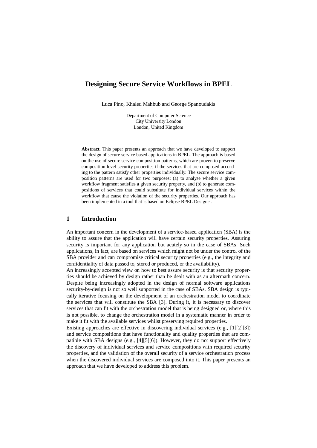# **Designing Secure Service Workflows in BPEL**

Luca Pino, Khaled Mahbub and George Spanoudakis

Department of Computer Science City University London London, United Kingdom

**Abstract.** This paper presents an approach that we have developed to support the design of secure service based applications in BPEL. The approach is based on the use of secure service composition patterns, which are proven to preserve composition level security properties if the services that are composed according to the pattern satisfy other properties individually. The secure service composition patterns are used for two purposes: (a) to analyse whether a given workflow fragment satisfies a given security property, and (b) to generate compositions of services that could substitute for individual services within the workflow that cause the violation of the security properties. Our approach has been implemented in a tool that is based on Eclipse BPEL Designer.

#### **1 Introduction**

An important concern in the development of a service-based application (SBA) is the ability to assure that the application will have certain security properties. Assuring security is important for any application but acutely so in the case of SBAs. Such applications, in fact, are based on services which might not be under the control of the SBA provider and can compromise critical security properties (e.g., the integrity and confidentiality of data passed to, stored or produced, or the availability).

An increasingly accepted view on how to best assure security is that security properties should be achieved by design rather than be dealt with as an aftermath concern. Despite being increasingly adopted in the design of normal software applications security-by-design is not so well supported in the case of SBAs. SBA design is typically iterative focusing on the development of an orchestration model to coordinate the services that will constitute the SBA [\[3\]](#page-9-0). During it, it is necessary to discover services that can fit with the orchestration model that is being designed or, where this is not possible, to change the orchestration model in a systematic manner in order to make it fit with the available services whilst preserving required properties.

Existing approaches are effective in discovering individual services (e.g., [\[1\]](#page-9-1)[\[2\]](#page-9-2)[\[3\]](#page-9-0)) and service compositions that have functionality and quality properties that are compatible with SBA designs (e.g., [\[4\]](#page-9-3)[\[5\]](#page-9-4)[\[6\]](#page-9-5)). However, they do not support effectively the discovery of individual services and service compositions with required security properties, and the validation of the overall security of a service orchestration process when the discovered individual services are composed into it. This paper presents an approach that we have developed to address this problem.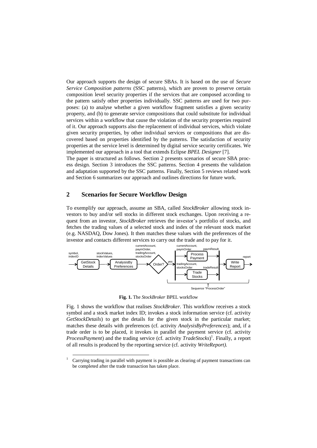Our approach supports the design of secure SBAs. It is based on the use of *Secure Service Composition patterns* (SSC patterns), which are proven to preserve certain composition level security properties if the services that are composed according to the pattern satisfy other properties individually. SSC patterns are used for two purposes: (a) to analyse whether a given workflow fragment satisfies a given security property, and (b) to generate service compositions that could substitute for individual services within a workflow that cause the violation of the security properties required of it. Our approach supports also the replacement of individual services, which violate given security properties, by other individual services or compositions that are discovered based on properties identified by the patterns. The satisfaction of security properties at the service level is determined by digital service security certificates. We implemented our approach in a tool that extends Eclipse *BPEL Designer* [\[7\]](#page-9-6).

The paper is structured as follows. Section 2 presents scenarios of secure SBA process design. Section 3 introduces the SSC patterns. Section 4 presents the validation and adaptation supported by the SSC patterns. Finally, Section 5 reviews related work and Section 6 summarizes our approach and outlines directions for future work.

#### **2 Scenarios for Secure Workflow Design**

-

To exemplify our approach, assume an SBA, called *StockBroker* allowing stock investors to buy and/or sell stocks in different stock exchanges. Upon receiving a request from an investor, *StockBroker* retrieves the investor's portfolio of stocks, and fetches the trading values of a selected stock and index of the relevant stock market (e.g. NASDAQ, Dow Jones). It then matches these values with the preferences of the investor and contacts different services to carry out the trade and to pay for it.



**Fig. 1.** The *StockBroker* BPEL workflow

Fig. 1 shows the workflow that realises *StockBroker*. This workflow receives a stock symbol and a stock market index ID; invokes a stock information service (cf. activity *GetStockDetails*) to get the details for the given stock in the particular market; matches these details with preferences (cf. activity *AnalysisByPreferences*); and, if a trade order is to be placed, it invokes in parallel the payment service (cf. activity *ProcessPayment*) and the trading service (cf. activity *TradeStocks*) 1 . Finally, a report of all results is produced by the reporting service (cf. activity *WriteReport)*.

 $1$  Carrying trading in parallel with payment is possible as clearing of payment transactions can be completed after the trade transaction has taken place.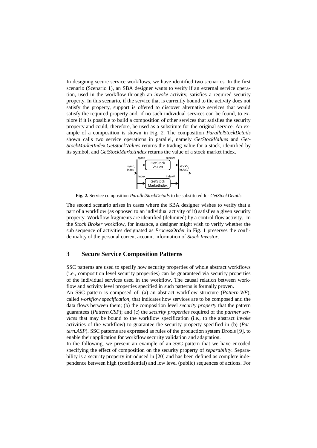In designing secure service workflows, we have identified two scenarios. In the first scenario (Scenario 1), an SBA designer wants to verify if an external service operation, used in the workflow through an *invoke* activity, satisfies a required security property. In this scenario, if the service that is currently bound to the activity does not satisfy the property, support is offered to discover alternative services that would satisfy the required property and, if no such individual services can be found, to explore if it is possible to build a composition of other services that satisfies the security property and could, therefore, be used as a substitute for the original service. An example of a composition is shown in Fig. 2. The composition *ParallelStockDetails* shown calls two service operations in parallel, namely *GetStockValues* and *Get-StockMarketIndex*.*GetStockValues* returns the trading value for a stock, identified by its symbol, and *GetStockMarketIndex* returns the value of a stock market index.



**Fig. 2.** Service composition *ParallelStockDetails* to be substituted for *GetStockDetails*

The second scenario arises in cases where the SBA designer wishes to verify that a part of a workflow (as opposed to an individual activity of it) satisfies a given security property. Workflow fragments are identified (delimited) by a control flow activity. In the *Stock Broker* workflow, for instance, a designer might wish to verify whether the sub sequence of activities designated as *ProcessOrder* in Fig. 1 preserves the confidentiality of the personal current account information of *Stock Investor*.

## **3 Secure Service Composition Patterns**

SSC patterns are used to specify how security properties of whole abstract workflows (i.e., composition level security properties) can be guaranteed via security properties of the individual services used in the workflow. The causal relation between workflow and activity level properties specified in such patterns is formally proven.

An SSC pattern is composed of: (a) an abstract workflow structure (*Pattern.WF*), called *workflow specification*, that indicates how services are to be composed and the data flows between them; (b) the composition level *security property* that the pattern guarantees (*Pattern.CSP*); and (c) the *security properties* required of the *partner services* that may be bound to the workflow specification (i.e., to the abstract *invoke* activities of the workflow) to guarantee the security property specified in (b) (*Pattern.ASP*). SSC patterns are expressed as rules of the production system Drools [\[9\]](#page-9-7), to enable their application for workflow security validation and adaptation.

In the following, we present an example of an SSC pattern that we have encoded specifying the effect of composition on the security property of *separability*. Separa-bility is a security property introduced in [\[20\]](#page-9-8) and has been defined as complete independence between high (confidential) and low level (public) sequences of actions. For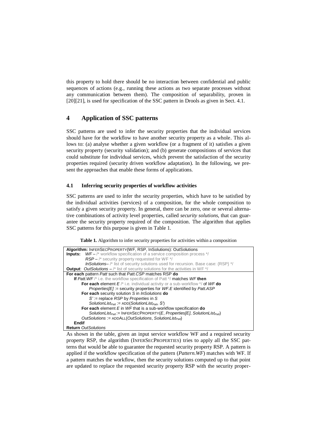this property to hold there should be no interaction between confidential and public sequences of actions (e.g., running these actions as two separate processes without any communication between them). The composition of separability, proven in [\[20\]](#page-9-8)[\[21\]](#page-9-9), is used for specification of the SSC pattern in Drools as given in Sect. 4.1.

## **4 Application of SSC patterns**

SSC patterns are used to infer the security properties that the individual services should have for the workflow to have another security property as a whole. This allows to: (a) analyse whether a given workflow (or a fragment of it) satisfies a given security property (security validation); and (b) generate compositions of services that could substitute for individual services, which prevent the satisfaction of the security properties required (security driven workflow adaptation). In the following, we present the approaches that enable these forms of applications.

#### **4.1 Inferring security properties of workflow activities**

SSC patterns are used to infer the security properties, which have to be satisfied by the individual activities (services) of a composition, for the whole composition to satisfy a given security property. In general, there can be zero, one or several alternative combinations of activity level properties, called *security solutions*, that can guarantee the security property required of the composition. The algorithm that applies SSC patterns for this purpose is given in Table 1.

**Table 1.** Algorithm to infer security properties for activities within a composition

| Algorithm: INFERSECPROPERTY(WF, RSP, InSolutions): OutSolutions                                    |
|----------------------------------------------------------------------------------------------------|
| <b>Inputs:</b> WF-/* workflow specification of a service composition process */                    |
| $RSP -$ /* security property requested for WF $^*/$                                                |
| <b>InSolutions-</b> /* list of security solutions used for recursion. Base case: {RSP} */          |
| <b>Output:</b> OutSolutions $-\prime^*$ list of security solutions for the activities in WF $^*$ / |
| For each pattern Patt such that Patt.CSP matches RSP do                                            |
| <b>If Patt.</b> WF/* i.e. the workflow specification of Patt */ matches WF then                    |
| <b>For each element <math>E^*</math></b> i.e. individual activity or a sub-workflow */ of WF do    |
| <i>Properties</i> $[E]$ := security properties for <i>WF.E</i> identified by <i>Patt.ASP</i>       |
| For each security solution S in InSolutions do                                                     |
| $S' =$ replace RSP by Properties in S                                                              |
| $SolutionList_{Path}$ := ADD(SolutionList <sub>Patt</sub> , S)                                     |
| For each element E in WF that is a sub-workflow specification do                                   |
| SolutionList <sub>Pati</sub> := INFERSECPROPERTY(E, Properties[E], SolutionList <sub>Pati</sub> )  |
| OutSolutions := $ADDALL(OutSolutions, SolutionListPart)$                                           |
| Endif                                                                                              |
| <b>Return</b> OutSolutions                                                                         |

As shown in the table, given an input service workflow WF and a required security property RSP, the algorithm (INFERSECPROPERTIES) tries to apply all the SSC patterns that would be able to guarantee the requested security property RSP. A pattern is applied if the workflow specification of the pattern (*Pattern.WF*) matches with WF. If a pattern matches the workflow, then the security solutions computed up to that point are updated to replace the requested security property RSP with the security proper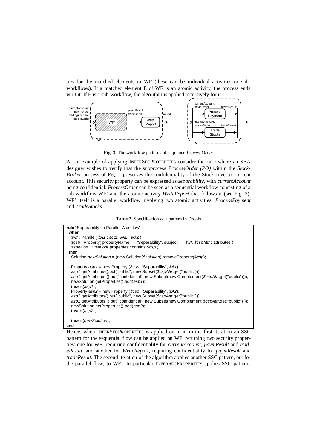ties for the matched elements in WF (these can be individual activities or subworkflows). If a matched element E of WF is an atomic activity, the process ends w.r.t it. If E is a sub-workflow, the algorithm is applied recursively for it.



**Fig. 3.** The workflow patterns of sequence *ProcessOrder*

As an example of applying INFERSECPROPERTIES consider the case where an SBA designer wishes to verify that the subprocess *ProcessOrder (PO)* within the *Stock-Broker* process of Fig. 1 preserves the confidentiality of the Stock Investor current account. This security property can be expressed as *separability*, with *currentAccount* being confidential. *ProcessOrder* can be seen as a sequential workflow consisting of a sub-workflow WF' and the atomic activity *WriteReport* that follows it (see Fig. 3). WF' itself is a parallel workflow involving two atomic activities: *ProcessPayment* and *TradeStocks*.

**Table 2.** Specification of a pattern in Drools

| rule "Separability on Parallel Workflow"                                                                                                                                                                                                                                                              |
|-------------------------------------------------------------------------------------------------------------------------------------------------------------------------------------------------------------------------------------------------------------------------------------------------------|
| when                                                                                                                                                                                                                                                                                                  |
| $\mathcal{S}wt$ : Parallel( $\mathcal{S}A1$ : act1, $\mathcal{S}A2$ : act2)                                                                                                                                                                                                                           |
| $\frac{1}{2}$ Scsp: Property property Name == "Separability", subject == $\frac{1}{2}$ wf, $\frac{1}{2}$ ScspAttr: attributes )<br>\$solution: Solution(properties contains \$csp)                                                                                                                    |
| then                                                                                                                                                                                                                                                                                                  |
| Solution newSolution = (new Solution(\$solution).removeProperty(\$csp);                                                                                                                                                                                                                               |
| Property $asp1 = new Property (Scsp, "Separability", $A1);$<br>asp1.getAttributes().put("public", new Subset(\$cspAttr.get("public")));<br>asp1.getAttributes ().put("confidential", new Subset(new Complement(\$cspAttr.get("public"))));<br>newSolution.getProperties().add(asp1);<br>insert(asp1); |
| Property $asp2 = new Property (Scsp, "Separability", $A2);$<br>asp2.getAttributes().put("public", new Subset(\$cspAttr.get("public")));<br>asp2.getAttributes ().put("confidential", new Subset(new Complement(\$cspAttr.get("public"))));<br>newSolution.getProperties().add(asp2);<br>insert(asp2); |
| <b>insert</b> ( <i>newSolution</i> );<br>end                                                                                                                                                                                                                                                          |

Hence, when INFERSECPROPERTIES is applied on to it, in the first iteration an SSC pattern for the sequential flow can be applied on WF, returning two security properties: one for WF' requiring confidentiality for *currentAccount*, *paymResult* and *tradeResult*, and another for *WriteReport*, requiring confidentiality for *paymResult* and *tradeResult*. The second iteration of the algorithm applies another SSC pattern, but for the parallel flow, to WF'. In particular INFERSECPROPERTIES applies SSC patterns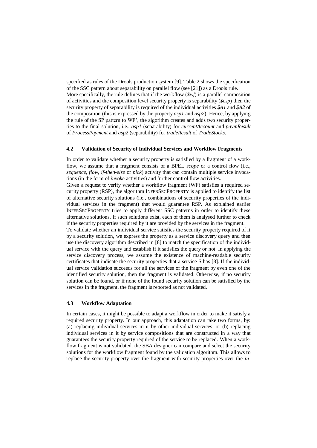specified as rules of the Drools production system [\[9\]](#page-9-7). Table 2 shows the specification of the SSC pattern about separability on parallel flow (see [\[21\]](#page-9-9)) as a Drools rule. More specifically, the rule defines that if the workflow (*\$wf*) is a parallel composition of activities and the composition level security property is separability (*\$csp*) then the security property of separability is required of the individual activities *\$A1* and *\$A2* of the composition (this is expressed by the property *asp1* and *asp2*). Hence, by applying the rule of the SP pattern to WF', the algorithm creates and adds two security properties to the final solution, i.e., *asp1* (separability) for *currentAccount* and *paymResult* of *ProcessPayment* and *asp2* (separability) for *tradeResult* of *TradeStocks*.

#### **4.2 Validation of Security of Individual Services and Workflow Fragments**

In order to validate whether a security property is satisfied by a fragment of a workflow, we assume that a fragment consists of a BPEL *scope* or a control flow (i.e., *sequence*, *flow*, *if-then-else* or *pick*) activity that can contain multiple service invocations (in the form of *invoke* activities) and further control flow activities.

Given a request to verify whether a workflow fragment (WF) satisfies a required security property (RSP), the algorithm INFERSECPROPERTY is applied to identify the list of alternative security solutions (i.e., combinations of security properties of the individual services in the fragment) that would guarantee RSP. As explained earlier INFERSECPROPERTY tries to apply different SSC patterns in order to identify these alternative solutions. If such solutions exist, each of them is analysed further to check if the security properties required by it are provided by the services in the fragment.

To validate whether an individual service satisfies the security property required of it by a security solution, we express the property as a service discovery query and then use the discovery algorithm described in [\[8\]](#page-9-10) to match the specification of the individual service with the query and establish if it satisfies the query or not. In applying the service discovery process, we assume the existence of machine-readable security certificates that indicate the security properties that a service S has [\[8\]](#page-9-10). If the individual service validation succeeds for all the services of the fragment by even one of the identified security solution, then the fragment is validated. Otherwise, if no security solution can be found, or if none of the found security solution can be satisfied by the services in the fragment, the fragment is reported as not validated.

#### **4.3 Workflow Adaptation**

In certain cases, it might be possible to adapt a workflow in order to make it satisfy a required security property. In our approach, this adaptation can take two forms, by: (a) replacing individual services in it by other individual services, or (b) replacing individual services in it by service compositions that are constructed in a way that guarantees the security property required of the service to be replaced. When a workflow fragment is not validated, the SBA designer can compare and select the security solutions for the workflow fragment found by the validation algorithm. This allows to replace the security property over the fragment with security properties over the *in-*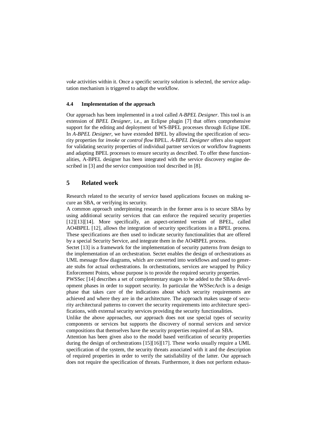*voke* activities within it. Once a specific security solution is selected, the service adaptation mechanism is triggered to adapt the workflow.

#### **4.4 Implementation of the approach**

Our approach has been implemented in a tool called *A-BPEL Designer*. This tool is an extension of *BPEL Designer*, i.e., an Eclipse plugin [\[7\]](#page-9-6) that offers comprehensive support for the editing and deployment of WS-BPEL processes through Eclipse IDE. In *A-BPEL Designer*, we have extended BPEL by allowing the specification of security properties for *invoke* or *control flow* BPEL. *A-BPEL Designer* offers also support for validating security properties of individual partner services or workflow fragments and adapting BPEL processes to ensure security as described. To offer these functionalities, A-BPEL designer has been integrated with the service discovery engine de-scribed in [\[3\]](#page-9-0) and the service composition tool described in [\[8\]](#page-9-10).

#### **5 Related work**

Research related to the security of service based applications focuses on making secure an SBA, or verifying its security.

A common approach underpinning research in the former area is to secure SBAs by using additional security services that can enforce the required security properties [\[12\]](#page-9-11)[\[13\]](#page-9-12)[\[14\]](#page-9-13). More specifically, an aspect-oriented version of BPEL, called AO4BPEL [\[12\]](#page-9-11), allows the integration of security specifications in a BPEL process. These specifications are then used to indicate security functionalities that are offered by a special Security Service, and integrate them in the AO4BPEL process.

Sectet [\[13\]](#page-9-12) is a framework for the implementation of security patterns from design to the implementation of an orchestration. Sectet enables the design of orchestrations as UML message flow diagrams, which are converted into workflows and used to generate stubs for actual orchestrations. In orchestrations, services are wrapped by Policy Enforcement Points, whose purpose is to provide the required security properties.

PWSSec [\[14\]](#page-9-13) describes a set of complementary stages to be added to the SBAs development phases in order to support security. In particular the WSSecArch is a design phase that takes care of the indications about which security requirements are achieved and where they are in the architecture. The approach makes usage of security architectural patterns to convert the security requirements into architecture specifications, with external security services providing the security functionalities.

Unlike the above approaches, our approach does not use special types of security components or services but supports the discovery of normal services and service compositions that themselves have the security properties required of an SBA.

Attention has been given also to the model based verification of security properties during the design of orchestrations [\[15\]](#page-9-14)[\[16\]](#page-9-15)[\[17\]](#page-9-16). These works usually require a UML specification of the system, the security threats associated with it and the description of required properties in order to verify the satisfiability of the latter. Our approach does not require the specification of threats. Furthermore, it does not perform exhaus-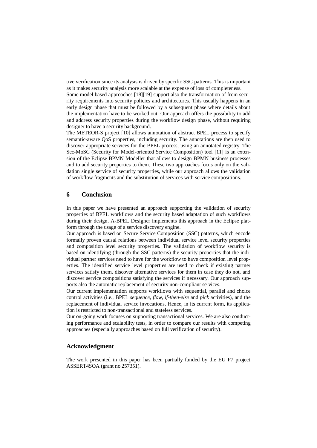tive verification since its analysis is driven by specific SSC patterns. This is important as it makes security analysis more scalable at the expense of loss of completeness.

Some model based approaches [\[18\]](#page-9-17)[\[19\]](#page-9-18) support also the transformation of from security requirements into security policies and architectures. This usually happens in an early design phase that must be followed by a subsequent phase where details about the implementation have to be worked out. Our approach offers the possibility to add and address security properties during the workflow design phase, without requiring designer to have a security background.

The METEOR-S project [\[10\]](#page-9-19) allows annotation of abstract BPEL process to specify semantic-aware QoS properties, including security. The annotations are then used to discover appropriate services for the BPEL process, using an annotated registry. The Sec-MoSC (Security for Model-oriented Service Composition) tool [\[11\]](#page-9-20) is an extension of the Eclipse BPMN Modeller that allows to design BPMN business processes and to add security properties to them. These two approaches focus only on the validation single service of security properties, while our approach allows the validation of workflow fragments and the substitution of services with service compositions.

#### **6 Conclusion**

In this paper we have presented an approach supporting the validation of security properties of BPEL workflows and the security based adaptation of such workflows during their design. A-BPEL Designer implements this approach in the Eclipse platform through the usage of a service discovery engine.

Our approach is based on Secure Service Composition (SSC) patterns, which encode formally proven causal relations between individual service level security properties and composition level security properties. The validation of workflow security is based on identifying (through the SSC patterns) the security properties that the individual partner services need to have for the workflow to have composition level properties. The identified service level properties are used to check if existing partner services satisfy them, discover alternative services for them in case they do not, and discover service compositions satisfying the services if necessary. Our approach supports also the automatic replacement of security non-compliant services.

Our current implementation supports workflows with sequential, parallel and choice control activities (i.e., BPEL *sequence*, *flow*, *if-then-else* and *pick* activities), and the replacement of individual service invocations. Hence, in its current form, its application is restricted to non-transactional and stateless services.

Our on-going work focuses on supporting transactional services. We are also conducting performance and scalability tests, in order to compare our results with competing approaches (especially approaches based on full verification of security).

#### **Acknowledgment**

The work presented in this paper has been partially funded by the EU F7 project ASSERT4SOA (grant no.257351).